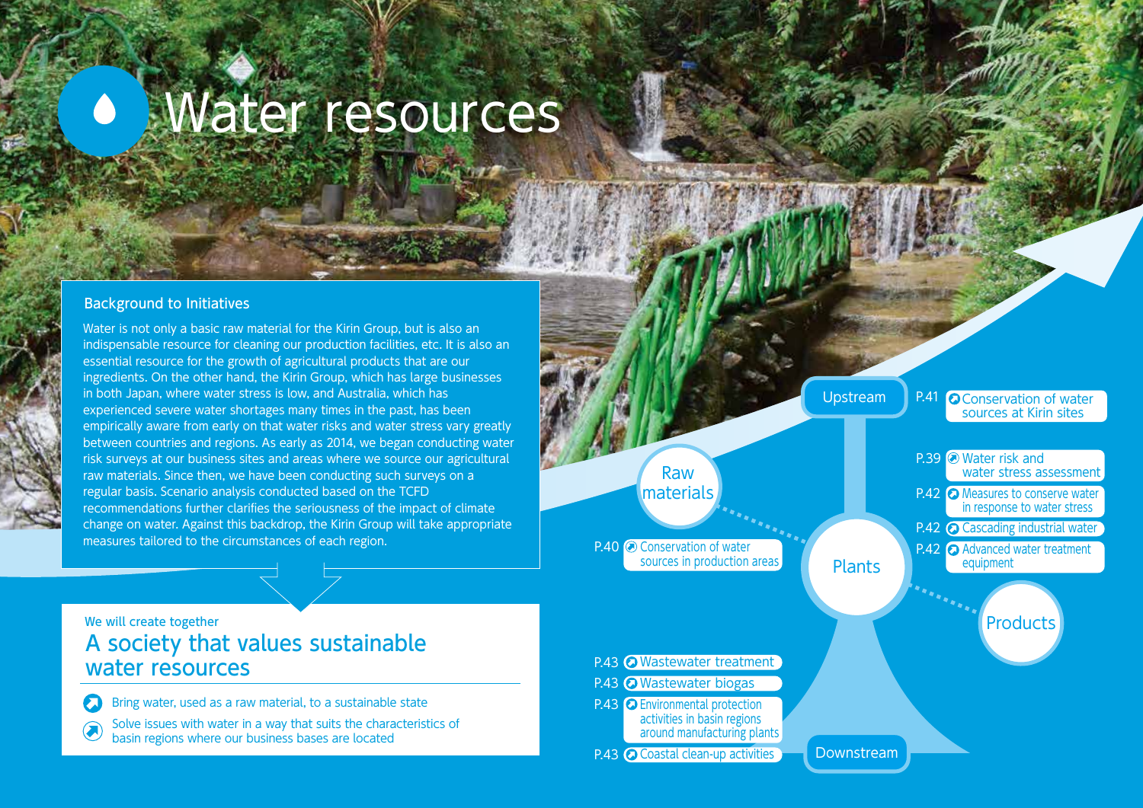# Water resources  $\blacktriangle$

## Background to Initiatives

Water is not only a basic raw material for the Kirin Group, but is also an indispensable resource for cleaning our production facilities, etc. It is also an essential resource for the growth of agricultural products that are our ingredients. On the other hand, the Kirin Group, which has large businesses in both Japan, where water stress is low, and Australia, which has experienced severe water shortages many times in the past, has been empirically aware from early on that water risks and water stress vary greatly between countries and regions. As early as 2014, we began conducting water risk surveys at our business sites and areas where we source our agricultural raw materials. Since then, we have been conducting such surveys on a regular basis. Scenario analysis conducted based on the TCFD recommendations further clarifies the seriousness of the impact of climate change on water. Against this backdrop, the Kirin Group will take appropriate measures tailored to the circumstances of each region.



## We will create together A society that values sustainable water resources

Bring water, used as a raw material, to a sustainable state

Solve issues with water in a way that suits the characteristics of basin regions where our business bases are located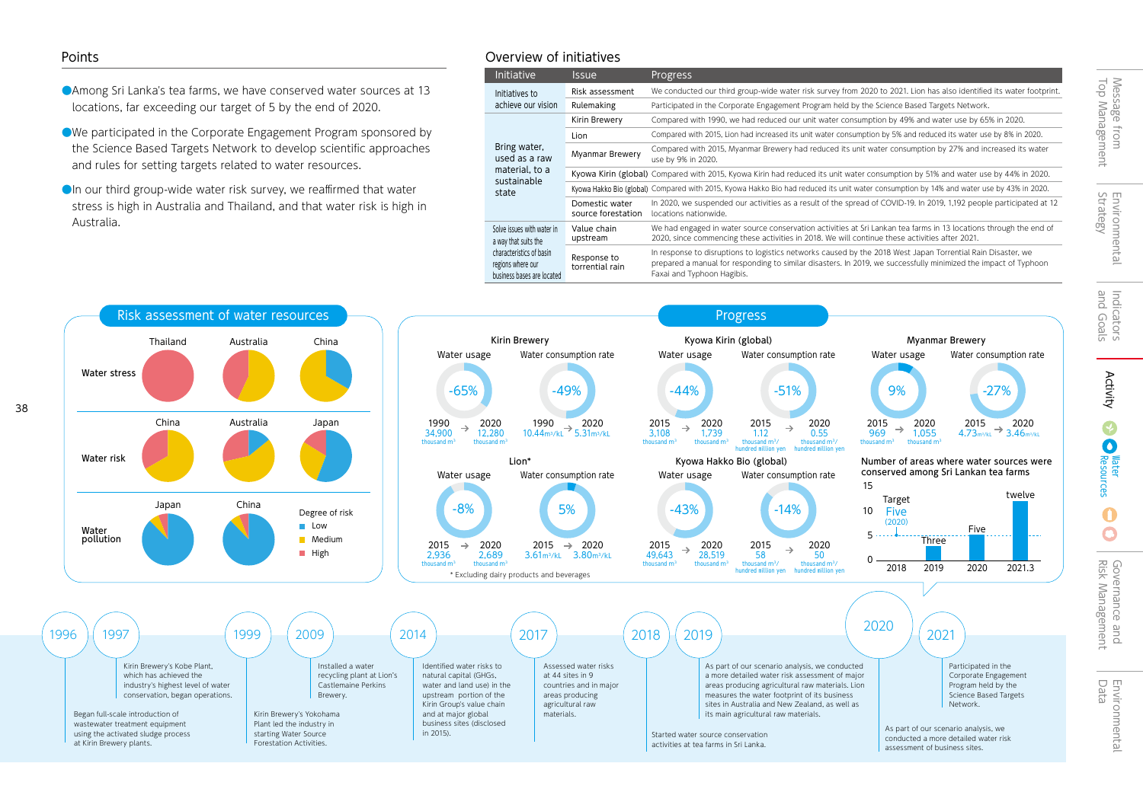- ●Among Sri Lanka's tea farms, we have conserved water sources at 13 locations, far exceeding our target of 5 by the end of 2020.
- ●We participated in the Corporate Engagement Program sponsored by the Science Based Targets Network to develop scientific approaches and rules for setting targets related to water resources.
- **OI**n our third group-wide water risk survey, we reaffirmed that water stress is high in Australia and Thailand, and that water risk is high in Australia.

## Points Overview of initiatives

| <b>Initiative</b>                                                                                                                 | <b>Issue</b>                         | Progress                                                                                                                                                                                                                                                     |
|-----------------------------------------------------------------------------------------------------------------------------------|--------------------------------------|--------------------------------------------------------------------------------------------------------------------------------------------------------------------------------------------------------------------------------------------------------------|
| Initiatives to<br>achieve our vision                                                                                              | Risk assessment                      | We conducted our third group-wide water risk survey from 2020 to 2021. Lion has also identified its water footprint.                                                                                                                                         |
|                                                                                                                                   | Rulemaking                           | Participated in the Corporate Engagement Program held by the Science Based Targets Network.                                                                                                                                                                  |
| Bring water,<br>used as a raw<br>material, to a<br>sustainable<br>state                                                           | Kirin Brewery                        | Compared with 1990, we had reduced our unit water consumption by 49% and water use by 65% in 2020.                                                                                                                                                           |
|                                                                                                                                   | Lion                                 | Compared with 2015, Lion had increased its unit water consumption by 5% and reduced its water use by 8% in 2020.                                                                                                                                             |
|                                                                                                                                   | <b>Myanmar Brewery</b>               | Compared with 2015, Myanmar Brewery had reduced its unit water consumption by 27% and increased its water<br>use by 9% in 2020.                                                                                                                              |
|                                                                                                                                   |                                      | Kyowa Kirin (global) Compared with 2015, Kyowa Kirin had reduced its unit water consumption by 51% and water use by 44% in 2020.                                                                                                                             |
|                                                                                                                                   |                                      | Kyowa Hakko Bio (global) Compared with 2015, Kyowa Hakko Bio had reduced its unit water consumption by 14% and water use by 43% in 2020.                                                                                                                     |
|                                                                                                                                   | Domestic water<br>source forestation | In 2020, we suspended our activities as a result of the spread of COVID-19. In 2019, 1,192 people participated at 12<br>locations nationwide.                                                                                                                |
| Solve issues with water in<br>a way that suits the<br>characteristics of basin<br>regions where our<br>business bases are located | Value chain<br>upstream              | We had engaged in water source conservation activities at Sri Lankan tea farms in 13 locations through the end of<br>2020, since commencing these activities in 2018. We will continue these activities after 2021.                                          |
|                                                                                                                                   | Response to<br>torrential rain       | In response to disruptions to logistics networks caused by the 2018 West Japan Torrential Rain Disaster, we<br>prepared a manual for responding to similar disasters. In 2019, we successfully minimized the impact of Typhoon<br>Faxai and Typhoon Hagibis. |



C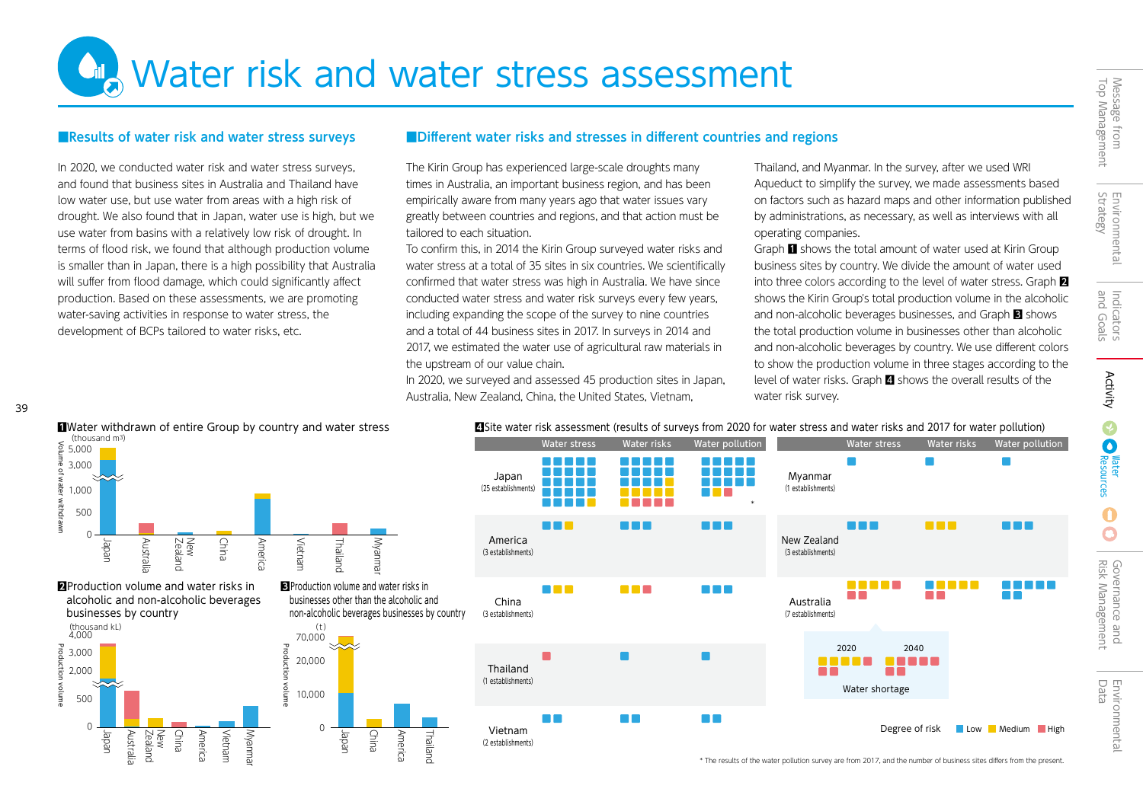$\mathbf \Omega$ 

**City Water risk and water stress assessment** 

In 2020, we conducted water risk and water stress surveys, and found that business sites in Australia and Thailand have low water use, but use water from areas with a high risk of drought. We also found that in Japan, water use is high, but we use water from basins with a relatively low risk of drought. In terms of flood risk, we found that although production volume is smaller than in Japan, there is a high possibility that Australia will suffer from flood damage, which could significantly affect production. Based on these assessments, we are promoting water-saving activities in response to water stress, the development of BCPs tailored to water risks, etc.

## ■Results of water risk and water stress surveys ■Different water risks and stresses in different countries and regions

The Kirin Group has experienced large-scale droughts many times in Australia, an important business region, and has been empirically aware from many years ago that water issues vary greatly between countries and regions, and that action must be tailored to each situation.

To confirm this, in 2014 the Kirin Group surveyed water risks and water stress at a total of 35 sites in six countries. We scientifically confirmed that water stress was high in Australia. We have since conducted water stress and water risk surveys every few years, including expanding the scope of the survey to nine countries and a total of 44 business sites in 2017. In surveys in 2014 and 2017, we estimated the water use of agricultural raw materials in the upstream of our value chain.

In 2020, we surveyed and assessed 45 production sites in Japan, Australia, New Zealand, China, the United States, Vietnam,

Thailand, and Myanmar. In the survey, after we used WRI Aqueduct to simplify the survey, we made assessments based on factors such as hazard maps and other information published by administrations, as necessary, as well as interviews with all operating companies.

Graph 1 shows the total amount of water used at Kirin Group business sites by country. We divide the amount of water used into three colors according to the level of water stress. Graph  $\blacksquare$ shows the Kirin Group's total production volume in the alcoholic and non-alcoholic beverages businesses, and Graph **3** shows the total production volume in businesses other than alcoholic and non-alcoholic beverages by country. We use different colors to show the production volume in three stages according to the level of water risks. Graph 4 shows the overall results of the water risk survey.

Water stress Water risks Water pollution

 $\overline{\phantom{a}}$ 

**BOX** 

n na mats

Degree of risk Low Medium High

n na mat mmmmmm n na na n m m m m Japan **Myanmar** n na ma **The Common** (25 establishments) (1 establishments) n n n - - - - - -\* **RADIO RED**  $\blacksquare$ n n n n ni New Zealand America **Puusky** (3 establishments) (3 establishments) **3**Production volume and water risks in **THE R** m m m n di s businesses other than the alcoholic and China Australia non-alcoholic beverages businesses by country (3 establishments) (7 establishments) 2020 2040  $\mathbf{r}$ ---Thailand (1 establishments) Water shortage **TIP** 

**The Co** 

Water stress Water risks Water pollution

## (thousand m3)

Japan

 $\Omega$ 

China Americ Thailanc

Vietnam (2 establishments) **College** 



**2**Production volume and water risks in alcoholic and non-alcoholic beverages

39



**IWater withdrawn of entire Group by country and water stress** 4Site water risk assessment (results of surveys from 2020 for water stress and water risks and 2017 for water pollution)

| * The results of the water pollution survey are from 2017, and the number of business sites differs from the present. |  |
|-----------------------------------------------------------------------------------------------------------------------|--|
|-----------------------------------------------------------------------------------------------------------------------|--|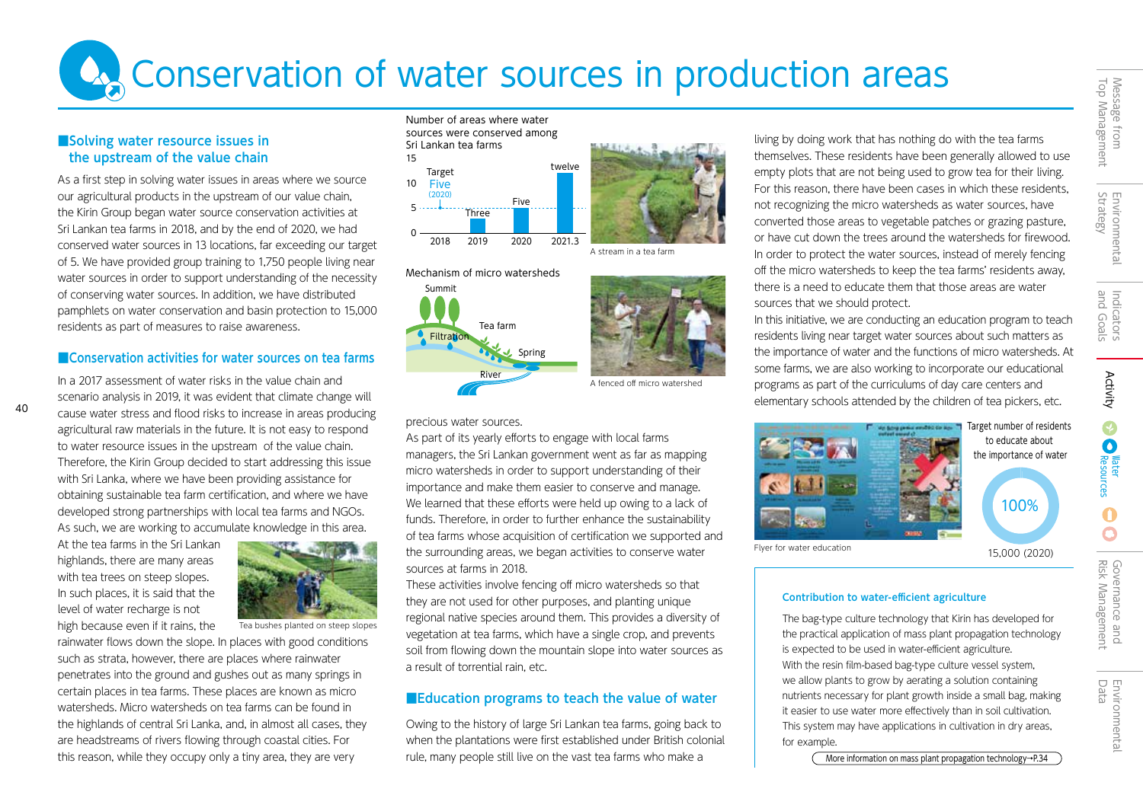# Environmental<br>Strategy Environmental

## ■Solving water resource issues in the upstream of the value chain

As a first step in solving water issues in areas where we source our agricultural products in the upstream of our value chain, the Kirin Group began water source conservation activities at Sri Lankan tea farms in 2018, and by the end of 2020, we had conserved water sources in 13 locations, far exceeding our target of 5. We have provided group training to 1,750 people living near water sources in order to support understanding of the necessity of conserving water sources. In addition, we have distributed pamphlets on water conservation and basin protection to 15,000 residents as part of measures to raise awareness.

## ■Conservation activities for water sources on tea farms

In a 2017 assessment of water risks in the value chain and  $\overline{R}$  River  $\overline{R}$  A fenced off micro watershed scenario analysis in 2019, it was evident that climate change will cause water stress and flood risks to increase in areas producing agricultural raw materials in the future. It is not easy to respond to water resource issues in the upstream of the value chain. Therefore, the Kirin Group decided to start addressing this issue with Sri Lanka, where we have been providing assistance for obtaining sustainable tea farm certification, and where we have developed strong partnerships with local tea farms and NGOs. As such, we are working to accumulate knowledge in this area.

At the tea farms in the Sri Lankan highlands, there are many areas with tea trees on steep slopes. In such places, it is said that the level of water recharge is not high because even if it rains, the

40



Tea bushes planted on steep slopes

rainwater flows down the slope. In places with good conditions such as strata, however, there are places where rainwater penetrates into the ground and gushes out as many springs in certain places in tea farms. These places are known as micro watersheds. Micro watersheds on tea farms can be found in the highlands of central Sri Lanka, and, in almost all cases, they are headstreams of rivers flowing through coastal cities. For this reason, while they occupy only a tiny area, they are very





## precious water sources.

As part of its yearly efforts to engage with local farms managers, the Sri Lankan government went as far as mapping micro watersheds in order to support understanding of their importance and make them easier to conserve and manage. We learned that these efforts were held up owing to a lack of funds. Therefore, in order to further enhance the sustainability of tea farms whose acquisition of certification we supported and the surrounding areas, we began activities to conserve water sources at farms in 2018.

These activities involve fencing off micro watersheds so that they are not used for other purposes, and planting unique regional native species around them. This provides a diversity of vegetation at tea farms, which have a single crop, and prevents soil from flowing down the mountain slope into water sources as a result of torrential rain, etc.

## ■Education programs to teach the value of water

Owing to the history of large Sri Lankan tea farms, going back to when the plantations were first established under British colonial rule, many people still live on the vast tea farms who make a

living by doing work that has nothing do with the tea farms themselves. These residents have been generally allowed to use empty plots that are not being used to grow tea for their living. For this reason, there have been cases in which these residents, not recognizing the micro watersheds as water sources, have converted those areas to vegetable patches or grazing pasture, or have cut down the trees around the watersheds for firewood. In order to protect the water sources, instead of merely fencing off the micro watersheds to keep the tea farms' residents away, there is a need to educate them that those areas are water sources that we should protect.

In this initiative, we are conducting an education program to teach residents living near target water sources about such matters as the importance of water and the functions of micro watersheds. At some farms, we are also working to incorporate our educational programs as part of the curriculums of day care centers and elementary schools attended by the children of tea pickers, etc.



## Contribution to water-efficient agriculture

The bag-type culture technology that Kirin has developed for the practical application of mass plant propagation technology is expected to be used in water-efficient agriculture. With the resin film-based bag-type culture vessel system, we allow plants to grow by aerating a solution containing nutrients necessary for plant growth inside a small bag, making it easier to use water more effectively than in soil cultivation. This system may have applications in cultivation in dry areas, for example.

More information on mass plant propagation technology→P.34

Resources **Mater<br>Resources**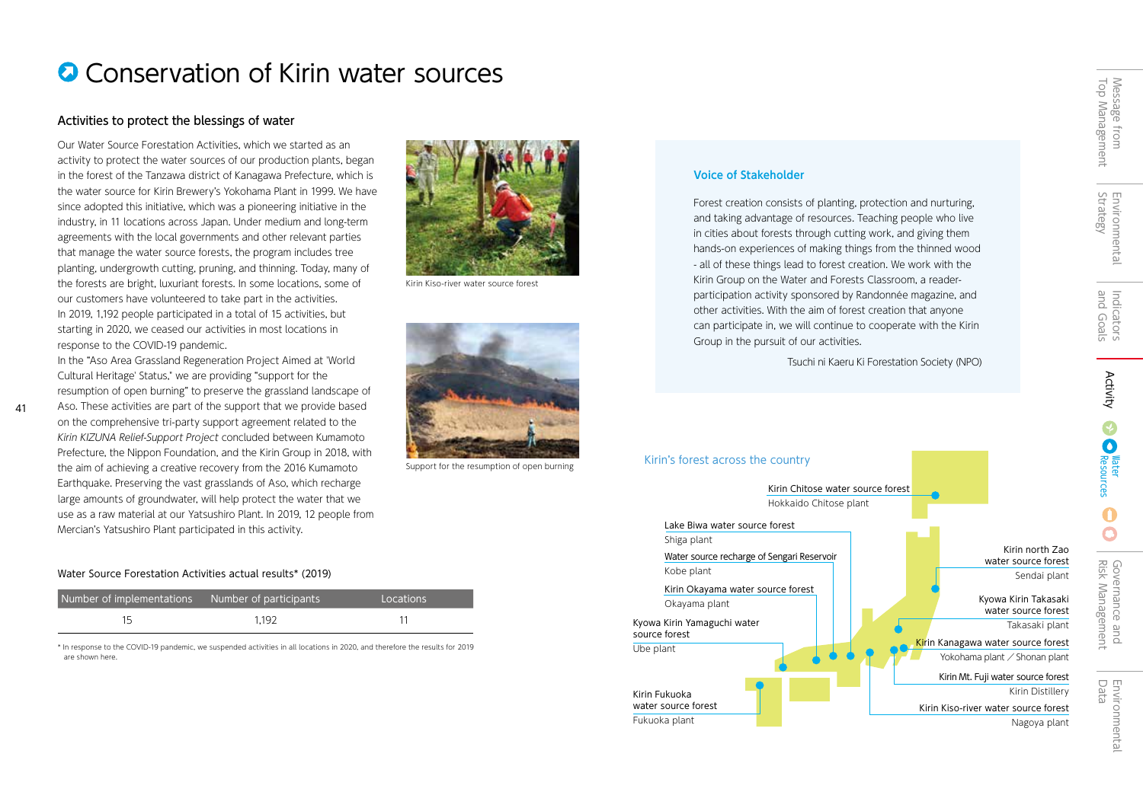# **Q** Conservation of Kirin water sources

## Activities to protect the blessings of water

Our Water Source Forestation Activities, which we started as an activity to protect the water sources of our production plants, began in the forest of the Tanzawa district of Kanagawa Prefecture, which is the water source for Kirin Brewery's Yokohama Plant in 1999. We have since adopted this initiative, which was a pioneering initiative in the industry, in 11 locations across Japan. Under medium and long-term agreements with the local governments and other relevant parties that manage the water source forests, the program includes tree planting, undergrowth cutting, pruning, and thinning. Today, many of the forests are bright, luxuriant forests. In some locations, some of our customers have volunteered to take part in the activities. In 2019, 1,192 people participated in a total of 15 activities, but starting in 2020, we ceased our activities in most locations in response to the COVID-19 pandemic.

In the "Aso Area Grassland Regeneration Project Aimed at 'World Cultural Heritage' Status," we are providing "support for the resumption of open burning" to preserve the grassland landscape of

Aso. These activities are part of the support that we provide based on the comprehensive tri-party support agreement related to the Kirin KIZUNA Relief-Support Project concluded between Kumamoto Prefecture, the Nippon Foundation, and the Kirin Group in 2018, with the aim of achieving a creative recovery from the 2016 Kumamoto Earthquake. Preserving the vast grasslands of Aso, which recharge large amounts of groundwater, will help protect the water that we use as a raw material at our Yatsushiro Plant. In 2019, 12 people from Mercian's Yatsushiro Plant participated in this activity.

41



| Number of implementations | Number of participants, | Locations |
|---------------------------|-------------------------|-----------|
|                           | 1.192                   |           |

\* In response to the COVID-19 pandemic, we suspended activities in all locations in 2020, and therefore the results for 2019 are shown here.



Kirin Kiso-river water source forest



Support for the resumption of open burning

## Voice of Stakeholder

Forest creation consists of planting, protection and nurturing, and taking advantage of resources. Teaching people who live in cities about forests through cutting work, and giving them hands-on experiences of making things from the thinned wood - all of these things lead to forest creation. We work with the Kirin Group on the Water and Forests Classroom, a readerparticipation activity sponsored by Randonnée magazine, and other activities. With the aim of forest creation that anyone can participate in, we will continue to cooperate with the Kirin Group in the pursuit of our activities.

Tsuchi ni Kaeru Ki Forestation Society (NPO)

### Kirin's forest across the country Kirin Chitose water source forest Hokkaido Chitose plant Lake Biwa water source forest Shiga plant Water source recharge of Sengari Reservoir Kobe plant Kirin Okayama water source forest Okayama plant Kyowa Kirin Yamaguchi water source forest Ube plant Kirin Fukuoka water source forest Fukuoka plant Kirin north Zao water source forest Sendai plant Kirin Kanagawa water source forest Yokohama plant / Shonan plant Kirin Mt. Fuji water source forest Kirin Distillery Kirin Kiso-river water source forest Nagoya plant Kyowa Kirin Takasaki water source forest Takasaki plant

Message from<br>Top Management Top Management Message from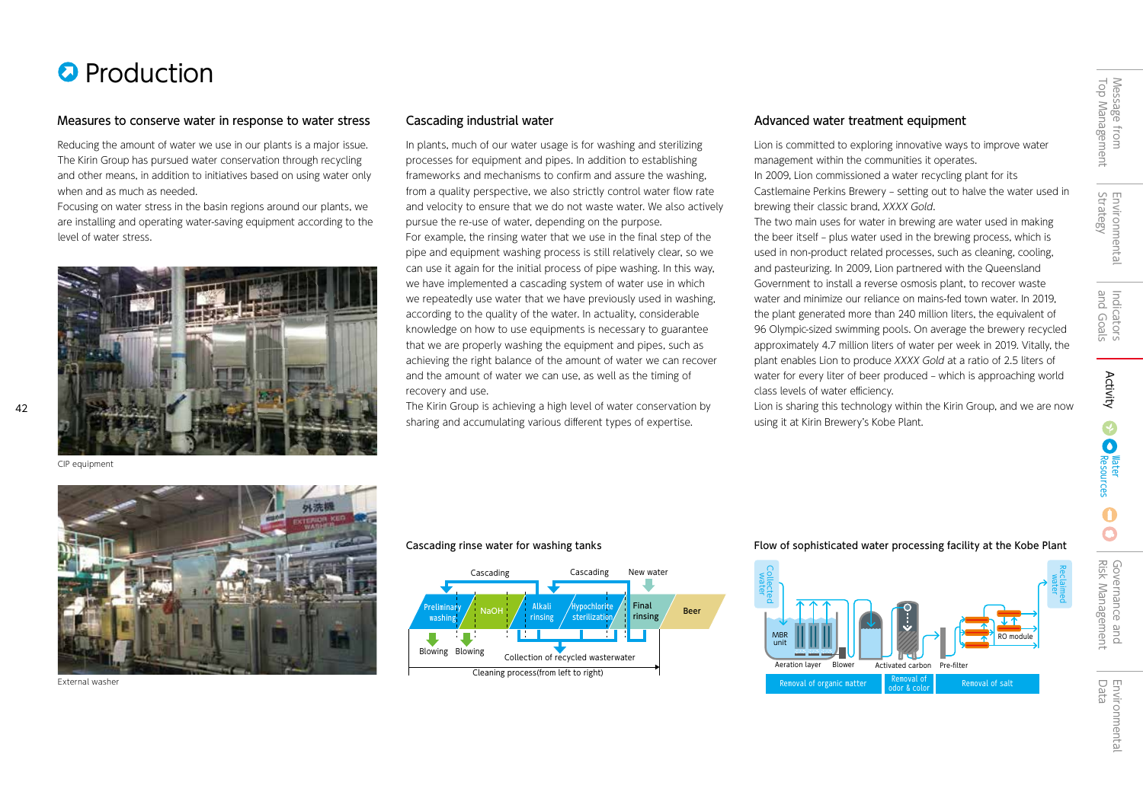# **O** Production

## Measures to conserve water in response to water stress Cascading industrial water Advanced water Advanced water treatment equipment

Reducing the amount of water we use in our plants is a major issue. The Kirin Group has pursued water conservation through recycling and other means, in addition to initiatives based on using water only when and as much as needed.

Focusing on water stress in the basin regions around our plants, we are installing and operating water-saving equipment according to the level of water stress.



CIP equipment

 $42$ 

In plants, much of our water usage is for washing and sterilizing processes for equipment and pipes. In addition to establishing frameworks and mechanisms to confirm and assure the washing, from a quality perspective, we also strictly control water flow rate and velocity to ensure that we do not waste water. We also actively pursue the re-use of water, depending on the purpose. For example, the rinsing water that we use in the final step of the pipe and equipment washing process is still relatively clear, so we can use it again for the initial process of pipe washing. In this way, we have implemented a cascading system of water use in which we repeatedly use water that we have previously used in washing, according to the quality of the water. In actuality, considerable knowledge on how to use equipments is necessary to guarantee that we are properly washing the equipment and pipes, such as achieving the right balance of the amount of water we can recover and the amount of water we can use, as well as the timing of recovery and use.

The Kirin Group is achieving a high level of water conservation by sharing and accumulating various different types of expertise.

Lion is committed to exploring innovative ways to improve water management within the communities it operates.

In 2009, Lion commissioned a water recycling plant for its Castlemaine Perkins Brewery – setting out to halve the water used in brewing their classic brand, XXXX Gold.

The two main uses for water in brewing are water used in making the beer itself – plus water used in the brewing process, which is used in non-product related processes, such as cleaning, cooling, and pasteurizing. In 2009, Lion partnered with the Queensland Government to install a reverse osmosis plant, to recover waste water and minimize our reliance on mains-fed town water. In 2019, the plant generated more than 240 million liters, the equivalent of 96 Olympic-sized swimming pools. On average the brewery recycled approximately 4.7 million liters of water per week in 2019. Vitally, the plant enables Lion to produce XXXX Gold at a ratio of 2.5 liters of water for every liter of beer produced – which is approaching world class levels of water efficiency.

Lion is sharing this technology within the Kirin Group, and we are now using it at Kirin Brewery's Kobe Plant.

Top Management Message from

Top Management Message from

 $\Omega$ 



External washer



### Cascading rinse water for washing tanks Flow of sophisticated water processing facility at the Kobe Plant

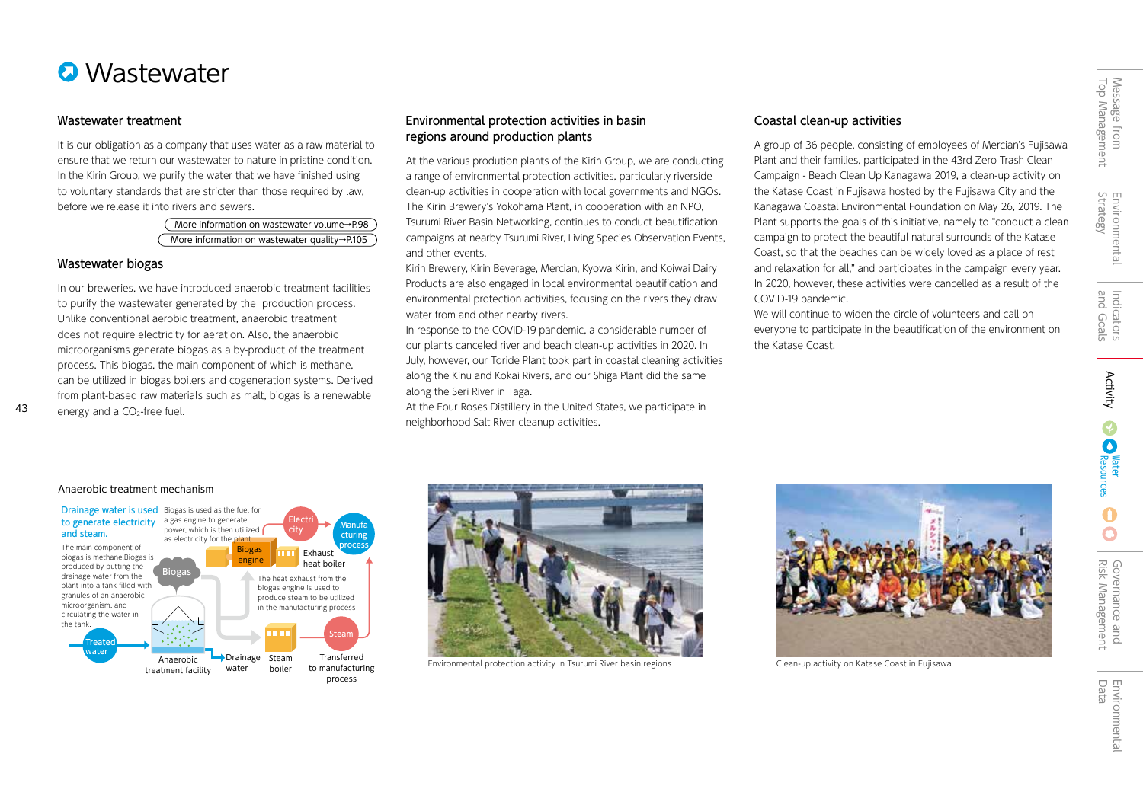

## Wastewater treatment

It is our obligation as a company that uses water as a raw material to ensure that we return our wastewater to nature in pristine condition. In the Kirin Group, we purify the water that we have finished using to voluntary standards that are stricter than those required by law, before we release it into rivers and sewers.

> More information on wastewater volume→P.98 More information on wastewater quality→P.105

## Wastewater biogas

43

In our breweries, we have introduced anaerobic treatment facilities to purify the wastewater generated by the production process. Unlike conventional aerobic treatment, anaerobic treatment does not require electricity for aeration. Also, the anaerobic microorganisms generate biogas as a by-product of the treatment process. This biogas, the main component of which is methane, can be utilized in biogas boilers and cogeneration systems. Derived from plant-based raw materials such as malt, biogas is a renewable energy and a CO<sub>2</sub>-free fuel.

## Environmental protection activities in basin regions around production plants

At the various prodution plants of the Kirin Group, we are conducting a range of environmental protection activities, particularly riverside clean-up activities in cooperation with local governments and NGOs. The Kirin Brewery's Yokohama Plant, in cooperation with an NPO, Tsurumi River Basin Networking, continues to conduct beautification campaigns at nearby Tsurumi River, Living Species Observation Events, and other events.

Kirin Brewery, Kirin Beverage, Mercian, Kyowa Kirin, and Koiwai Dairy Products are also engaged in local environmental beautification and environmental protection activities, focusing on the rivers they draw water from and other nearby rivers.

In response to the COVID-19 pandemic, a considerable number of our plants canceled river and beach clean-up activities in 2020. In July, however, our Toride Plant took part in coastal cleaning activities along the Kinu and Kokai Rivers, and our Shiga Plant did the same along the Seri River in Taga.

At the Four Roses Distillery in the United States, we participate in neighborhood Salt River cleanup activities.

## Coastal clean-up activities

A group of 36 people, consisting of employees of Mercian's Fujisawa Plant and their families, participated in the 43rd Zero Trash Clean Campaign - Beach Clean Up Kanagawa 2019, a clean-up activity on the Katase Coast in Fujisawa hosted by the Fujisawa City and the Kanagawa Coastal Environmental Foundation on May 26, 2019. The Plant supports the goals of this initiative, namely to "conduct a clean campaign to protect the beautiful natural surrounds of the Katase Coast, so that the beaches can be widely loved as a place of rest and relaxation for all," and participates in the campaign every year. In 2020, however, these activities were cancelled as a result of the COVID-19 pandemic.

We will continue to widen the circle of volunteers and call on everyone to participate in the beautification of the environment on the Katase Coast.

### Anaerobic treatment mechanism